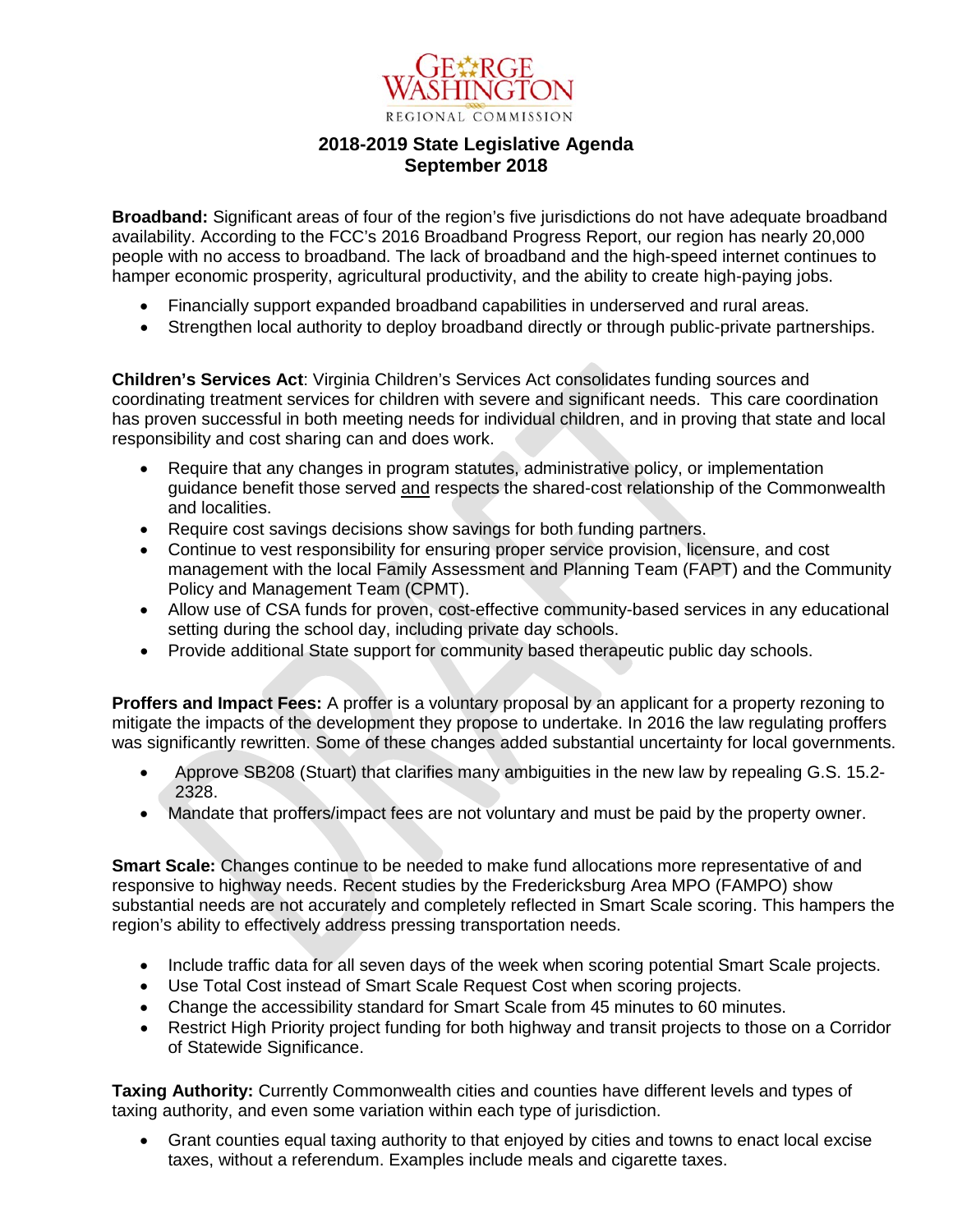

#### **2018-2019 State Legislative Agenda September 2018**

**Broadband:** Significant areas of four of the region's five jurisdictions do not have adequate broadband availability. According to the FCC's 2016 Broadband Progress Report, our region has nearly 20,000 people with no access to broadband. The lack of broadband and the high-speed internet continues to hamper economic prosperity, agricultural productivity, and the ability to create high-paying jobs.

- Financially support expanded broadband capabilities in underserved and rural areas.
- Strengthen local authority to deploy broadband directly or through public-private partnerships.

**Children's Services Act**: Virginia Children's Services Act consolidates funding sources and coordinating treatment services for children with severe and significant needs. This care coordination has proven successful in both meeting needs for individual children, and in proving that state and local responsibility and cost sharing can and does work.

- Require that any changes in program statutes, administrative policy, or implementation guidance benefit those served and respects the shared-cost relationship of the Commonwealth and localities.
- Require cost savings decisions show savings for both funding partners.
- Continue to vest responsibility for ensuring proper service provision, licensure, and cost management with the local Family Assessment and Planning Team (FAPT) and the Community Policy and Management Team (CPMT).
- Allow use of CSA funds for proven, cost-effective community-based services in any educational setting during the school day, including private day schools.
- Provide additional State support for community based therapeutic public day schools.

**Proffers and Impact Fees:** A proffer is a voluntary proposal by an applicant for a property rezoning to mitigate the impacts of the development they propose to undertake. In 2016 the law regulating proffers was significantly rewritten. Some of these changes added substantial uncertainty for local governments.

- Approve SB208 (Stuart) that clarifies many ambiguities in the new law by repealing G.S. 15.2- 2328.
- Mandate that proffers/impact fees are not voluntary and must be paid by the property owner.

**Smart Scale:** Changes continue to be needed to make fund allocations more representative of and responsive to highway needs. Recent studies by the Fredericksburg Area MPO (FAMPO) show substantial needs are not accurately and completely reflected in Smart Scale scoring. This hampers the region's ability to effectively address pressing transportation needs.

- Include traffic data for all seven days of the week when scoring potential Smart Scale projects.
- Use Total Cost instead of Smart Scale Request Cost when scoring projects.
- Change the accessibility standard for Smart Scale from 45 minutes to 60 minutes.
- Restrict High Priority project funding for both highway and transit projects to those on a Corridor of Statewide Significance.

**Taxing Authority:** Currently Commonwealth cities and counties have different levels and types of taxing authority, and even some variation within each type of jurisdiction.

• Grant counties equal taxing authority to that enjoyed by cities and towns to enact local excise taxes, without a referendum. Examples include meals and cigarette taxes.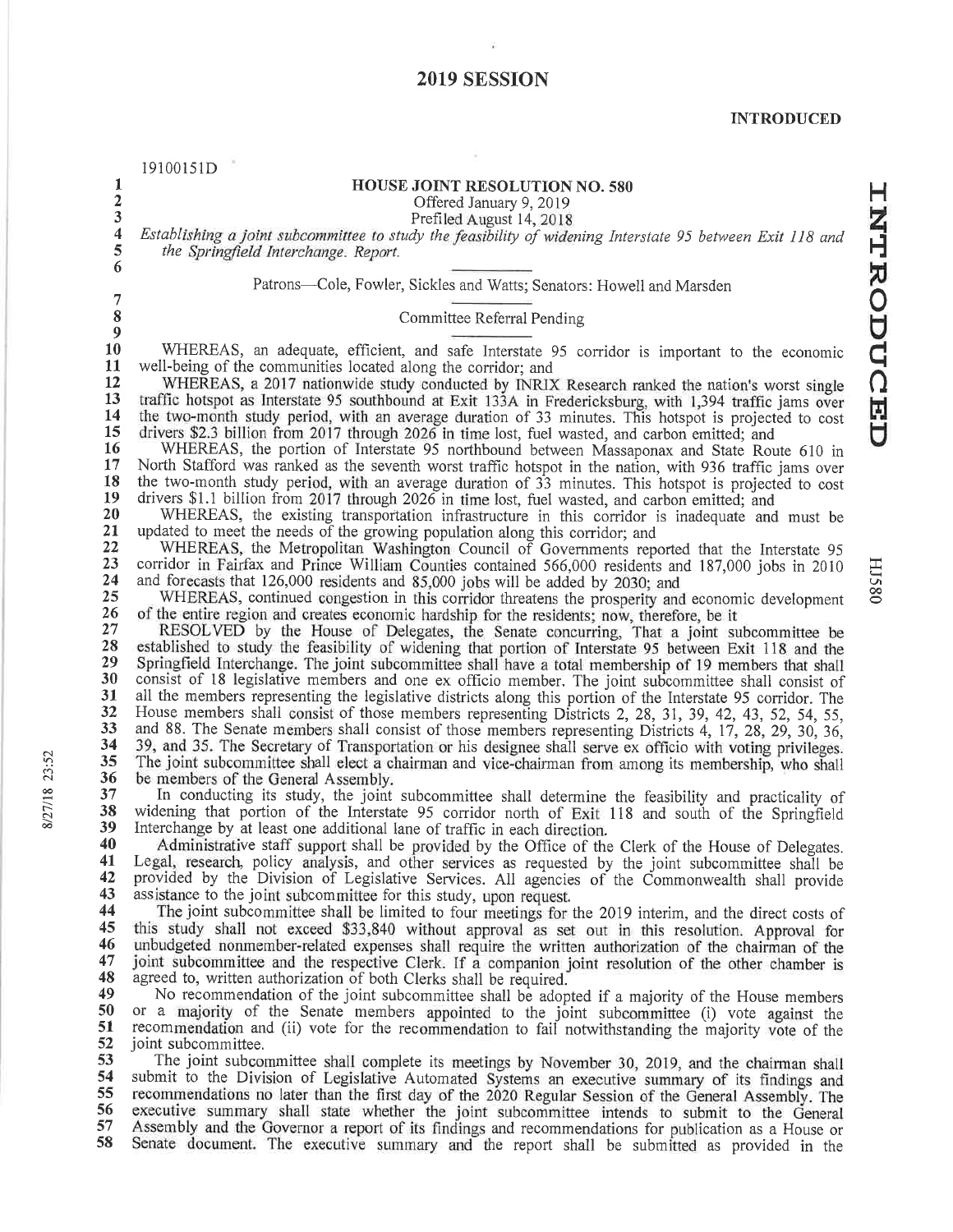# **2019 SESSION**

 $\widetilde{\mathbf{r}}$ 

| 1                       | 19100151D<br>HOUSE JOINT RESOLUTION NO. 580                                                                                                                                                                       |
|-------------------------|-------------------------------------------------------------------------------------------------------------------------------------------------------------------------------------------------------------------|
| $\overline{\mathbf{c}}$ | Offered January 9, 2019                                                                                                                                                                                           |
| 3                       | Prefiled August 14, 2018                                                                                                                                                                                          |
| 4                       | Establishing a joint subcommittee to study the feasibility of widening Interstate 95 between Exit 118 and                                                                                                         |
| 5                       | the Springfield Interchange. Report.                                                                                                                                                                              |
| 6                       |                                                                                                                                                                                                                   |
|                         | Patrons-Cole, Fowler, Sickles and Watts; Senators: Howell and Marsden                                                                                                                                             |
| 7<br>8                  |                                                                                                                                                                                                                   |
| $\boldsymbol{9}$        | Committee Referral Pending                                                                                                                                                                                        |
| 10                      | WHEREAS, an adequate, efficient, and safe Interstate 95 corridor is important to the economic                                                                                                                     |
| 11                      | well-being of the communities located along the corridor; and                                                                                                                                                     |
| 12                      | WHEREAS, a 2017 nationwide study conducted by INRIX Research ranked the nation's worst single                                                                                                                     |
| 13                      | traffic hotspot as Interstate 95 southbound at Exit 133A in Fredericksburg, with 1,394 traffic jams over                                                                                                          |
| 14<br>15                | the two-month study period, with an average duration of 33 minutes. This hotspot is projected to cost                                                                                                             |
| 16                      | drivers \$2.3 billion from 2017 through 2026 in time lost, fuel wasted, and carbon emitted; and<br>WHEREAS, the portion of Interstate 95 northbound between Massaponax and State Route 610 in                     |
| 17                      | North Stafford was ranked as the seventh worst traffic hotspot in the nation, with 936 traffic jams over                                                                                                          |
| 18                      | the two-month study period, with an average duration of 33 minutes. This hotspot is projected to cost                                                                                                             |
| 19                      | drivers \$1.1 billion from 2017 through 2026 in time lost, fuel wasted, and carbon emitted; and                                                                                                                   |
| 20                      | WHEREAS, the existing transportation infrastructure in this corridor is inadequate and must be                                                                                                                    |
| 21<br>22                | updated to meet the needs of the growing population along this corridor; and                                                                                                                                      |
| 23                      | WHEREAS, the Metropolitan Washington Council of Governments reported that the Interstate 95<br>corridor in Fairfax and Prince William Counties contained 566,000 residents and 187,000 jobs in 2010               |
| 24                      | and forecasts that 126,000 residents and 85,000 jobs will be added by 2030; and                                                                                                                                   |
| 25                      | WHEREAS, continued congestion in this corridor threatens the prosperity and economic development                                                                                                                  |
| 26                      | of the entire region and creates economic hardship for the residents; now, therefore, be it                                                                                                                       |
| 27                      | RESOLVED by the House of Delegates, the Senate concurring, That a joint subcommittee be                                                                                                                           |
| 28<br>29                | established to study the feasibility of widening that portion of Interstate 95 between Exit 118 and the<br>Springfield Interchange. The joint subcommittee shall have a total membership of 19 members that shall |
| 30                      | consist of 18 legislative members and one ex officio member. The joint subcommittee shall consist of                                                                                                              |
| 31                      | all the members representing the legislative districts along this portion of the Interstate 95 corridor. The                                                                                                      |
| 32                      | House members shall consist of those members representing Districts 2, 28, 31, 39, 42, 43, 52, 54, 55,                                                                                                            |
| 33                      | and 88. The Senate members shall consist of those members representing Districts 4, 17, 28, 29, 30, 36,                                                                                                           |
| 34<br>35                | 39, and 35. The Secretary of Transportation or his designee shall serve ex officio with voting privileges.                                                                                                        |
| 36                      | The joint subcommittee shall elect a chairman and vice-chairman from among its membership, who shall<br>be members of the General Assembly.                                                                       |
| 37                      | In conducting its study, the joint subcommittee shall determine the feasibility and practicality of                                                                                                               |
| 38                      | widening that portion of the Interstate 95 corridor north of Exit 118 and south of the Springfield                                                                                                                |
| 39                      | Interchange by at least one additional lane of traffic in each direction.                                                                                                                                         |
| 40                      | Administrative staff support shall be provided by the Office of the Clerk of the House of Delegates.                                                                                                              |
| 41<br>42                | Legal, research, policy analysis, and other services as requested by the joint subcommittee shall be                                                                                                              |
| 43                      | provided by the Division of Legislative Services. All agencies of the Commonwealth shall provide<br>assistance to the joint subcommittee for this study, upon request.                                            |
| 44                      | The joint subcommittee shall be limited to four meetings for the 2019 interim, and the direct costs of                                                                                                            |
| 45                      | this study shall not exceed \$33,840 without approval as set out in this resolution. Approval for                                                                                                                 |
| 46                      | unbudgeted nonmember-related expenses shall require the written authorization of the chairman of the                                                                                                              |
| 47                      | joint subcommittee and the respective Clerk. If a companion joint resolution of the other chamber is                                                                                                              |
| 48<br>49                | agreed to, written authorization of both Clerks shall be required.                                                                                                                                                |
| 50                      | No recommendation of the joint subcommittee shall be adopted if a majority of the House members<br>or a majority of the Senate members appointed to the joint subcommittee (i) vote against the                   |
| 51                      | recommendation and (ii) vote for the recommendation to fail notwithstanding the majority vote of the                                                                                                              |
| 52                      | joint subcommittee.                                                                                                                                                                                               |
| 53                      | The joint subcommittee shall complete its meetings by November 30, 2019, and the chairman shall                                                                                                                   |
| 54                      | submit to the Division of Legislative Automated Systems an executive summary of its findings and                                                                                                                  |
| 55<br>56                | recommendations no later than the first day of the 2020 Regular Session of the General Assembly. The<br>executive summary shall state whether the joint subcommittee intends to submit to the General             |
| 57                      | Assembly and the Governor a report of its findings and recommendations for publication as a House or                                                                                                              |
| 58                      | Senate document. The executive summary and the report shall be submitted as provided in the                                                                                                                       |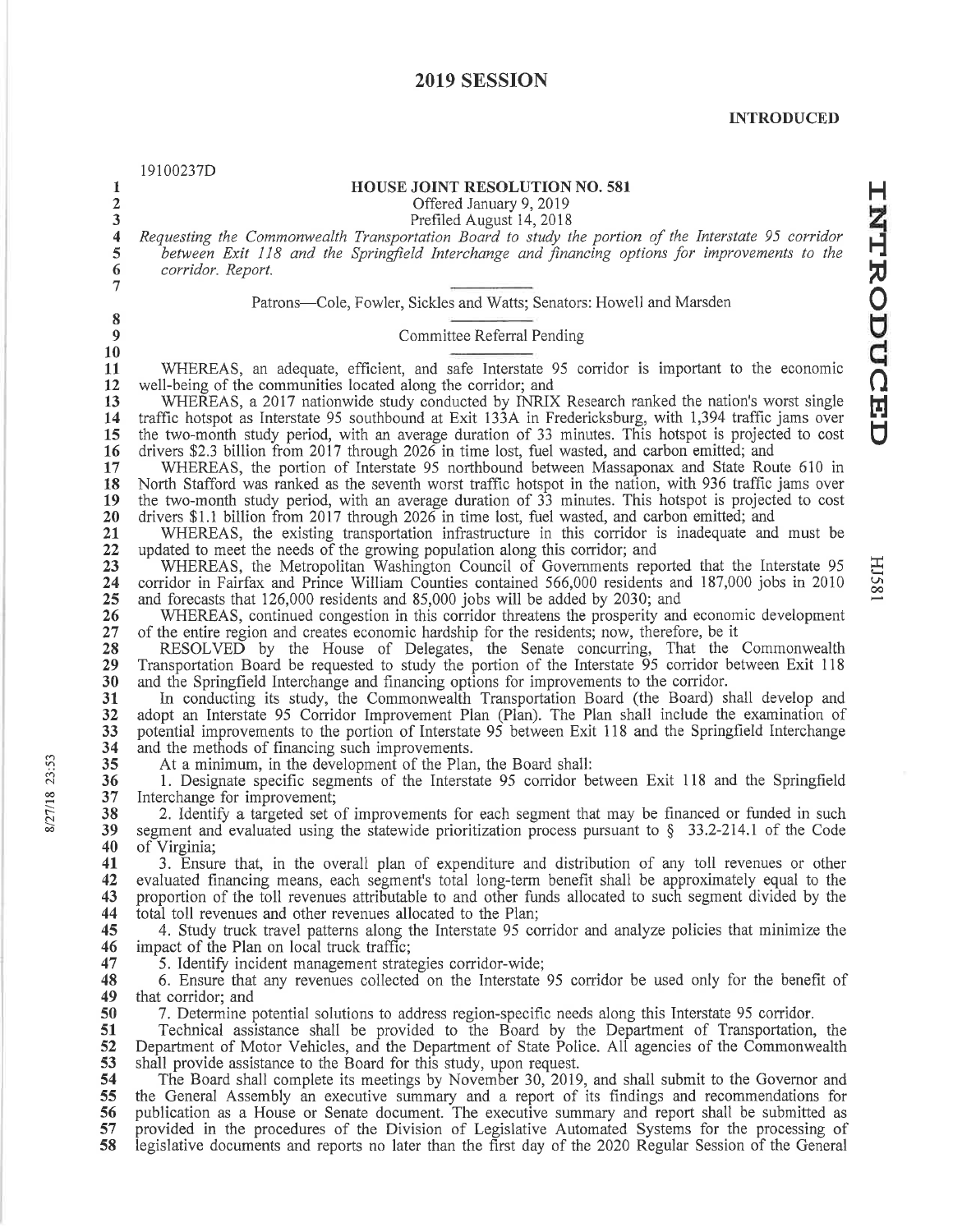# 2019 SESSION

|                         | 19100237D                                                                                                                                                                                                         |
|-------------------------|-------------------------------------------------------------------------------------------------------------------------------------------------------------------------------------------------------------------|
| 1                       | <b>HOUSE JOINT RESOLUTION NO. 581</b>                                                                                                                                                                             |
| $\mathbf 2$             | Offered January 9, 2019                                                                                                                                                                                           |
| 3                       | Prefiled August 14, 2018                                                                                                                                                                                          |
| $\overline{\mathbf{4}}$ | Requesting the Commonwealth Transportation Board to study the portion of the Interstate 95 corridor                                                                                                               |
| 5<br>6                  | between Exit 118 and the Springfield Interchange and financing options for improvements to the<br>corridor. Report.                                                                                               |
| 7                       |                                                                                                                                                                                                                   |
|                         | Patrons—Cole, Fowler, Sickles and Watts; Senators: Howell and Marsden                                                                                                                                             |
| 8                       |                                                                                                                                                                                                                   |
| $\boldsymbol{9}$        | Committee Referral Pending                                                                                                                                                                                        |
| 10                      |                                                                                                                                                                                                                   |
| 11                      | WHEREAS, an adequate, efficient, and safe Interstate 95 corridor is important to the economic                                                                                                                     |
| 12                      | well-being of the communities located along the corridor; and                                                                                                                                                     |
| 13                      | WHEREAS, a 2017 nationwide study conducted by INRIX Research ranked the nation's worst single                                                                                                                     |
| 14<br>15                | traffic hotspot as Interstate 95 southbound at Exit 133A in Fredericksburg, with 1,394 traffic jams over<br>the two-month study period, with an average duration of 33 minutes. This hotspot is projected to cost |
| 16                      | drivers \$2.3 billion from 2017 through 2026 in time lost, fuel wasted, and carbon emitted; and                                                                                                                   |
| 17                      | WHEREAS, the portion of Interstate 95 northbound between Massaponax and State Route 610 in                                                                                                                        |
| 18                      | North Stafford was ranked as the seventh worst traffic hotspot in the nation, with 936 traffic jams over                                                                                                          |
| 19                      | the two-month study period, with an average duration of 33 minutes. This hotspot is projected to cost                                                                                                             |
| 20                      | drivers \$1.1 billion from 2017 through 2026 in time lost, fuel wasted, and carbon emitted; and                                                                                                                   |
| 21<br>22                | WHEREAS, the existing transportation infrastructure in this corridor is inadequate and must be<br>updated to meet the needs of the growing population along this corridor; and                                    |
| 23                      | WHEREAS, the Metropolitan Washington Council of Governments reported that the Interstate 95                                                                                                                       |
| 24                      | corridor in Fairfax and Prince William Counties contained 566,000 residents and 187,000 jobs in 2010                                                                                                              |
| 25                      | and forecasts that 126,000 residents and 85,000 jobs will be added by 2030; and                                                                                                                                   |
| 26                      | WHEREAS, continued congestion in this corridor threatens the prosperity and economic development                                                                                                                  |
| 27<br>28                | of the entire region and creates economic hardship for the residents; now, therefore, be it<br>RESOLVED by the House of Delegates, the Senate concurring, That the Commonwealth                                   |
| 29                      | Transportation Board be requested to study the portion of the Interstate 95 corridor between Exit 118                                                                                                             |
| 30                      | and the Springfield Interchange and financing options for improvements to the corridor.                                                                                                                           |
| 31                      | In conducting its study, the Commonwealth Transportation Board (the Board) shall develop and                                                                                                                      |
| 32                      | adopt an Interstate 95 Corridor Improvement Plan (Plan). The Plan shall include the examination of                                                                                                                |
| 33                      | potential improvements to the portion of Interstate 95 between Exit 118 and the Springfield Interchange                                                                                                           |
| 34<br>35                | and the methods of financing such improvements.<br>At a minimum, in the development of the Plan, the Board shall:                                                                                                 |
| 36                      | 1. Designate specific segments of the Interstate 95 corridor between Exit 118 and the Springfield                                                                                                                 |
| 37                      | Interchange for improvement;                                                                                                                                                                                      |
| 38                      | 2. Identify a targeted set of improvements for each segment that may be financed or funded in such                                                                                                                |
| 39                      | segment and evaluated using the statewide prioritization process pursuant to $\S$ 33.2-214.1 of the Code                                                                                                          |
| 40<br>41                | of Virginia;<br>3. Ensure that, in the overall plan of expenditure and distribution of any toll revenues or other                                                                                                 |
| 42                      | evaluated financing means, each segment's total long-term benefit shall be approximately equal to the                                                                                                             |
| 43                      | proportion of the toll revenues attributable to and other funds allocated to such segment divided by the                                                                                                          |
| 44                      | total toll revenues and other revenues allocated to the Plan;                                                                                                                                                     |
| 45                      | 4. Study truck travel patterns along the Interstate 95 corridor and analyze policies that minimize the                                                                                                            |
| 46                      | impact of the Plan on local truck traffic;                                                                                                                                                                        |
| 47                      | 5. Identify incident management strategies corridor-wide;                                                                                                                                                         |
| 48<br>49                | 6. Ensure that any revenues collected on the Interstate 95 corridor be used only for the benefit of<br>that corridor; and                                                                                         |
| 50                      | 7. Determine potential solutions to address region-specific needs along this Interstate 95 corridor.                                                                                                              |
| 51                      | Technical assistance shall be provided to the Board by the Department of Transportation, the                                                                                                                      |
| 52                      | Department of Motor Vehicles, and the Department of State Police. All agencies of the Commonwealth                                                                                                                |
| 53                      | shall provide assistance to the Board for this study, upon request.                                                                                                                                               |
| 54<br>55                | The Board shall complete its meetings by November 30, 2019, and shall submit to the Governor and<br>the General Assembly an executive summary and a report of its findings and recommendations for                |
| 56                      | publication as a House or Senate document. The executive summary and report shall be submitted as                                                                                                                 |
| 57                      | provided in the procedures of the Division of Legislative Automated Systems for the processing of                                                                                                                 |
| 58                      | legislative documents and reports no later than the first day of the 2020 Regular Session of the General                                                                                                          |
|                         |                                                                                                                                                                                                                   |

**HJ581**